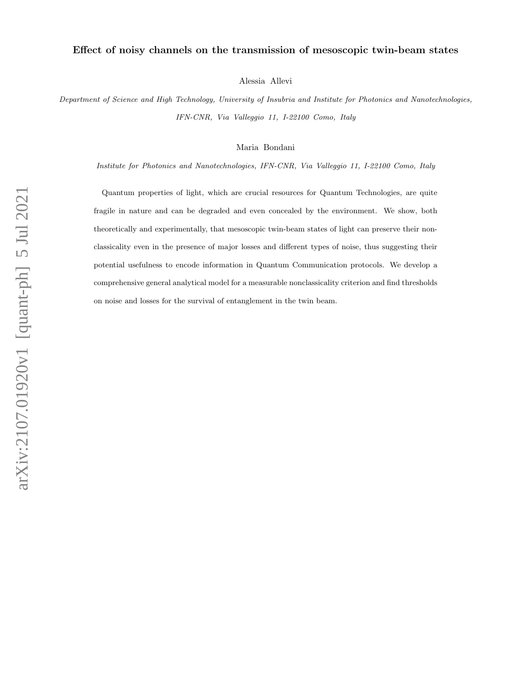# Effect of noisy channels on the transmission of mesoscopic twin-beam states

Alessia Allevi

Department of Science and High Technology, University of Insubria and Institute for Photonics and Nanotechnologies, IFN-CNR, Via Valleggio 11, I-22100 Como, Italy

Maria Bondani

Institute for Photonics and Nanotechnologies, IFN-CNR, Via Valleggio 11, I-22100 Como, Italy

Quantum properties of light, which are crucial resources for Quantum Technologies, are quite fragile in nature and can be degraded and even concealed by the environment. We show, both theoretically and experimentally, that mesoscopic twin-beam states of light can preserve their nonclassicality even in the presence of major losses and different types of noise, thus suggesting their potential usefulness to encode information in Quantum Communication protocols. We develop a comprehensive general analytical model for a measurable nonclassicality criterion and find thresholds on noise and losses for the survival of entanglement in the twin beam.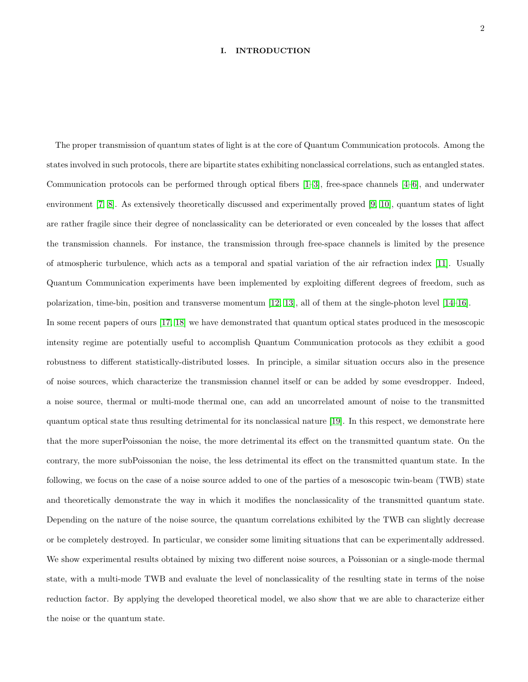## I. INTRODUCTION

The proper transmission of quantum states of light is at the core of Quantum Communication protocols. Among the states involved in such protocols, there are bipartite states exhibiting nonclassical correlations, such as entangled states. Communication protocols can be performed through optical fibers [\[1–](#page-12-0)[3\]](#page-12-1), free-space channels [\[4](#page-12-2)[–6\]](#page-12-3), and underwater environment [\[7,](#page-12-4) [8\]](#page-12-5). As extensively theoretically discussed and experimentally proved [\[9,](#page-12-6) [10\]](#page-12-7), quantum states of light are rather fragile since their degree of nonclassicality can be deteriorated or even concealed by the losses that affect the transmission channels. For instance, the transmission through free-space channels is limited by the presence of atmospheric turbulence, which acts as a temporal and spatial variation of the air refraction index [\[11\]](#page-12-8). Usually Quantum Communication experiments have been implemented by exploiting different degrees of freedom, such as polarization, time-bin, position and transverse momentum [\[12,](#page-13-0) [13\]](#page-13-1), all of them at the single-photon level [\[14–](#page-13-2)[16\]](#page-13-3).

In some recent papers of ours [\[17,](#page-13-4) [18\]](#page-13-5) we have demonstrated that quantum optical states produced in the mesoscopic intensity regime are potentially useful to accomplish Quantum Communication protocols as they exhibit a good robustness to different statistically-distributed losses. In principle, a similar situation occurs also in the presence of noise sources, which characterize the transmission channel itself or can be added by some evesdropper. Indeed, a noise source, thermal or multi-mode thermal one, can add an uncorrelated amount of noise to the transmitted quantum optical state thus resulting detrimental for its nonclassical nature [\[19\]](#page-13-6). In this respect, we demonstrate here that the more superPoissonian the noise, the more detrimental its effect on the transmitted quantum state. On the contrary, the more subPoissonian the noise, the less detrimental its effect on the transmitted quantum state. In the following, we focus on the case of a noise source added to one of the parties of a mesoscopic twin-beam (TWB) state and theoretically demonstrate the way in which it modifies the nonclassicality of the transmitted quantum state. Depending on the nature of the noise source, the quantum correlations exhibited by the TWB can slightly decrease or be completely destroyed. In particular, we consider some limiting situations that can be experimentally addressed. We show experimental results obtained by mixing two different noise sources, a Poissonian or a single-mode thermal state, with a multi-mode TWB and evaluate the level of nonclassicality of the resulting state in terms of the noise reduction factor. By applying the developed theoretical model, we also show that we are able to characterize either the noise or the quantum state.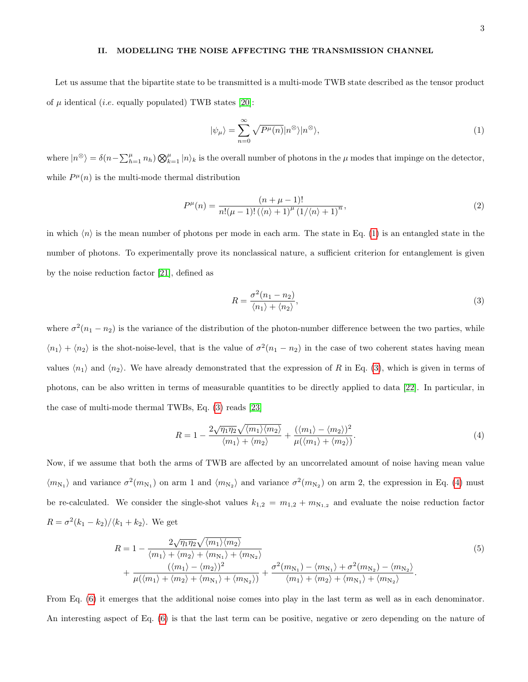## II. MODELLING THE NOISE AFFECTING THE TRANSMISSION CHANNEL

Let us assume that the bipartite state to be transmitted is a multi-mode TWB state described as the tensor product of  $\mu$  identical (*i.e.* equally populated) TWB states [\[20\]](#page-13-7):

<span id="page-2-0"></span>
$$
|\psi_{\mu}\rangle = \sum_{n=0}^{\infty} \sqrt{P^{\mu}(n)} |n^{\otimes}\rangle |n^{\otimes}\rangle, \tag{1}
$$

where  $|n^{\otimes}\rangle = \delta(n-\sum_{h=1}^{\mu}n_h)\bigotimes_{k=1}^{\mu}|n\rangle_k$  is the overall number of photons in the  $\mu$  modes that impinge on the detector, while  $P^{\mu}(n)$  is the multi-mode thermal distribution

$$
P^{\mu}(n) = \frac{(n + \mu - 1)!}{n!(\mu - 1)!(\langle n \rangle + 1)^{\mu} (1/\langle n \rangle + 1)^{n}},
$$
\n(2)

in which  $\langle n \rangle$  is the mean number of photons per mode in each arm. The state in Eq. [\(1\)](#page-2-0) is an entangled state in the number of photons. To experimentally prove its nonclassical nature, a sufficient criterion for entanglement is given by the noise reduction factor [\[21\]](#page-13-8), defined as

<span id="page-2-1"></span>
$$
R = \frac{\sigma^2 (n_1 - n_2)}{\langle n_1 \rangle + \langle n_2 \rangle},\tag{3}
$$

where  $\sigma^2(n_1 - n_2)$  is the variance of the distribution of the photon-number difference between the two parties, while  $\langle n_1 \rangle + \langle n_2 \rangle$  is the shot-noise-level, that is the value of  $\sigma^2(n_1 - n_2)$  in the case of two coherent states having mean values  $\langle n_1 \rangle$  and  $\langle n_2 \rangle$ . We have already demonstrated that the expression of R in Eq. [\(3\)](#page-2-1), which is given in terms of photons, can be also written in terms of measurable quantities to be directly applied to data [\[22\]](#page-13-9). In particular, in the case of multi-mode thermal TWBs, Eq. [\(3\)](#page-2-1) reads [\[23\]](#page-13-10)

<span id="page-2-2"></span>
$$
R = 1 - \frac{2\sqrt{\eta_1 \eta_2} \sqrt{\langle m_1 \rangle \langle m_2 \rangle}}{\langle m_1 \rangle + \langle m_2 \rangle} + \frac{(\langle m_1 \rangle - \langle m_2 \rangle)^2}{\mu(\langle m_1 \rangle + \langle m_2 \rangle)}.
$$
(4)

Now, if we assume that both the arms of TWB are affected by an uncorrelated amount of noise having mean value  $\langle m_{N_1} \rangle$  and variance  $\sigma^2(m_{N_1})$  on arm 1 and  $\langle m_{N_2} \rangle$  and variance  $\sigma^2(m_{N_2})$  on arm 2, the expression in Eq. [\(4\)](#page-2-2) must be re-calculated. We consider the single-shot values  $k_{1,2} = m_{1,2} + m_{N_{1,2}}$  and evaluate the noise reduction factor  $R = \sigma^2(k_1 - k_2)/\langle k_1 + k_2 \rangle$ . We get

<span id="page-2-3"></span>
$$
R = 1 - \frac{2\sqrt{\eta_1 \eta_2} \sqrt{\langle m_1 \rangle \langle m_2 \rangle}}{\langle m_1 \rangle + \langle m_2 \rangle + \langle m_{N_1} \rangle + \langle m_{N_2} \rangle} + \frac{\langle \langle m_1 \rangle - \langle m_2 \rangle \rangle^2}{\mu(\langle m_1 \rangle + \langle m_2 \rangle + \langle m_{N_1} \rangle + \langle m_{N_2} \rangle)} + \frac{\sigma^2(m_{N_1}) - \langle m_{N_1} \rangle + \sigma^2(m_{N_2}) - \langle m_{N_2} \rangle}{\langle m_1 \rangle + \langle m_2 \rangle + \langle m_{N_1} \rangle + \langle m_{N_2} \rangle}.
$$
\n
$$
(5)
$$

From Eq. [\(6\)](#page-3-0) it emerges that the additional noise comes into play in the last term as well as in each denominator. An interesting aspect of Eq. [\(6\)](#page-3-0) is that the last term can be positive, negative or zero depending on the nature of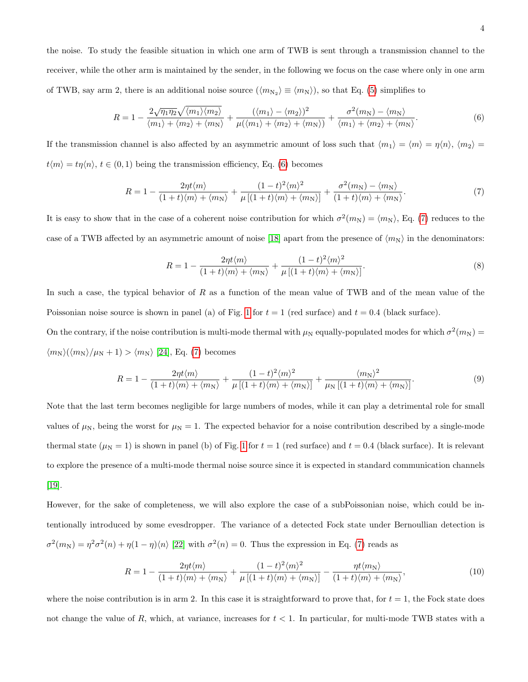the noise. To study the feasible situation in which one arm of TWB is sent through a transmission channel to the receiver, while the other arm is maintained by the sender, in the following we focus on the case where only in one arm of TWB, say arm 2, there is an additional noise source  $(\langle m_{N_2} \rangle \equiv \langle m_N \rangle)$ , so that Eq. [\(5\)](#page-2-3) simplifies to

<span id="page-3-0"></span>
$$
R = 1 - \frac{2\sqrt{\eta_1 \eta_2} \sqrt{\langle m_1 \rangle \langle m_2 \rangle}}{\langle m_1 \rangle + \langle m_2 \rangle + \langle m_N \rangle} + \frac{(\langle m_1 \rangle - \langle m_2 \rangle)^2}{\mu(\langle m_1 \rangle + \langle m_2 \rangle + \langle m_N \rangle)} + \frac{\sigma^2(m_N) - \langle m_N \rangle}{\langle m_1 \rangle + \langle m_2 \rangle + \langle m_N \rangle}.
$$
(6)

If the transmission channel is also affected by an asymmetric amount of loss such that  $\langle m_1 \rangle = \langle m \rangle = \eta \langle n \rangle$ ,  $\langle m_2 \rangle =$  $t\langle m \rangle = t\eta\langle n \rangle$ ,  $t \in (0,1)$  being the transmission efficiency, Eq. [\(6\)](#page-3-0) becomes

<span id="page-3-1"></span>
$$
R = 1 - \frac{2\eta t \langle m \rangle}{(1+t)\langle m \rangle + \langle m_N \rangle} + \frac{(1-t)^2 \langle m \rangle^2}{\mu \left[ (1+t)\langle m \rangle + \langle m_N \rangle \right]} + \frac{\sigma^2(m_N) - \langle m_N \rangle}{(1+t)\langle m \rangle + \langle m_N \rangle}.
$$
(7)

It is easy to show that in the case of a coherent noise contribution for which  $\sigma^2(m_N) = \langle m_N \rangle$ , Eq. [\(7\)](#page-3-1) reduces to the case of a TWB affected by an asymmetric amount of noise [\[18\]](#page-13-5) apart from the presence of  $\langle m_N \rangle$  in the denominators:

<span id="page-3-2"></span>
$$
R = 1 - \frac{2\eta t \langle m \rangle}{(1+t)\langle m \rangle + \langle m_N \rangle} + \frac{(1-t)^2 \langle m \rangle^2}{\mu \left[ (1+t)\langle m \rangle + \langle m_N \rangle \right]}.
$$
\n(8)

In such a case, the typical behavior of R as a function of the mean value of TWB and of the mean value of the Poissonian noise source is shown in panel (a) of Fig. [1](#page-4-0) for  $t = 1$  (red surface) and  $t = 0.4$  (black surface).

On the contrary, if the noise contribution is multi-mode thermal with  $\mu_N$  equally-populated modes for which  $\sigma^2(m_N)$  $\langle m_N \rangle (\langle m_N \rangle / \mu_N + 1) > \langle m_N \rangle$  [\[24\]](#page-13-11), Eq. [\(7\)](#page-3-1) becomes

<span id="page-3-3"></span>
$$
R = 1 - \frac{2\eta t \langle m \rangle}{(1+t)\langle m \rangle + \langle m_N \rangle} + \frac{(1-t)^2 \langle m \rangle^2}{\mu \left[ (1+t)\langle m \rangle + \langle m_N \rangle \right]} + \frac{\langle m_N \rangle^2}{\mu_N \left[ (1+t)\langle m \rangle + \langle m_N \rangle \right]}.
$$
(9)

Note that the last term becomes negligible for large numbers of modes, while it can play a detrimental role for small values of  $\mu_N$ , being the worst for  $\mu_N = 1$ . The expected behavior for a noise contribution described by a single-mode thermal state ( $\mu_N = 1$  $\mu_N = 1$ ) is shown in panel (b) of Fig. 1 for  $t = 1$  (red surface) and  $t = 0.4$  (black surface). It is relevant to explore the presence of a multi-mode thermal noise source since it is expected in standard communication channels [\[19\]](#page-13-6).

However, for the sake of completeness, we will also explore the case of a subPoissonian noise, which could be intentionally introduced by some evesdropper. The variance of a detected Fock state under Bernoullian detection is  $\sigma^2(m_N) = \eta^2 \sigma^2(n) + \eta(1-\eta)\langle n\rangle$  [\[22\]](#page-13-9) with  $\sigma^2(n) = 0$ . Thus the expression in Eq. [\(7\)](#page-3-1) reads as

<span id="page-3-4"></span>
$$
R = 1 - \frac{2\eta t \langle m \rangle}{(1+t)\langle m \rangle + \langle m_N \rangle} + \frac{(1-t)^2 \langle m \rangle^2}{\mu \left[ (1+t)\langle m \rangle + \langle m_N \rangle \right]} - \frac{\eta t \langle m_N \rangle}{(1+t)\langle m \rangle + \langle m_N \rangle},\tag{10}
$$

where the noise contribution is in arm 2. In this case it is straightforward to prove that, for  $t = 1$ , the Fock state does not change the value of R, which, at variance, increases for  $t < 1$ . In particular, for multi-mode TWB states with a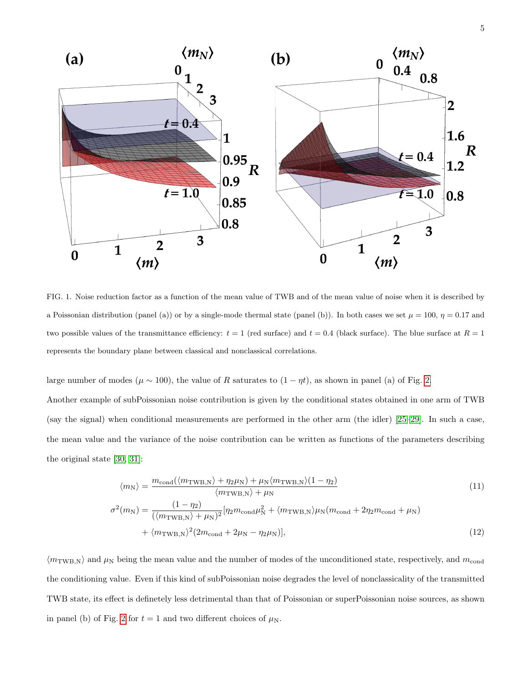

<span id="page-4-0"></span>FIG. 1. Noise reduction factor as a function of the mean value of TWB and of the mean value of noise when it is described by a Poissonian distribution (panel (a)) or by a single-mode thermal state (panel (b)). In both cases we set  $\mu = 100$ ,  $\eta = 0.17$  and two possible values of the transmittance efficiency:  $t = 1$  (red surface) and  $t = 0.4$  (black surface). The blue surface at  $R = 1$ represents the boundary plane between classical and nonclassical correlations.

large number of modes ( $\mu \sim 100$ ), the value of R saturates to  $(1 - \eta t)$ , as shown in panel (a) of Fig. [2.](#page-5-0)

Another example of subPoissonian noise contribution is given by the conditional states obtained in one arm of TWB (say the signal) when conditional measurements are performed in the other arm (the idler) [\[25–](#page-13-12)[29\]](#page-14-0). In such a case, the mean value and the variance of the noise contribution can be written as functions of the parameters describing the original state [\[30,](#page-14-1) [31\]](#page-14-2):

$$
\langle m_{\rm N} \rangle = \frac{m_{\rm cond}(\langle m_{\rm TWB,N} \rangle + \eta_2 \mu_{\rm N}) + \mu_{\rm N} \langle m_{\rm TWB,N} \rangle (1 - \eta_2)}{\langle m_{\rm TWB,N} \rangle + \mu_{\rm N}} \sigma^2(m_{\rm N}) = \frac{(1 - \eta_2)}{(\langle m_{\rm TWB,N} \rangle + \mu_{\rm N})^2} [\eta_2 m_{\rm cond} \mu_{\rm N}^2 + \langle m_{\rm TWB,N} \rangle \mu_{\rm N} (m_{\rm cond} + 2 \eta_2 m_{\rm cond} + \mu_{\rm N}) \n+ \langle m_{\rm TWB,N} \rangle^2 (2m_{\rm cond} + 2\mu_{\rm N} - \eta_2 \mu_{\rm N})],
$$
\n(12)

 $\langle m_{\text{TWB,N}}\rangle$  and  $\mu_{\text{N}}$  being the mean value and the number of modes of the unconditioned state, respectively, and  $m_{\text{cond}}$ the conditioning value. Even if this kind of subPoissonian noise degrades the level of nonclassicality of the transmitted TWB state, its effect is definetely less detrimental than that of Poissonian or superPoissonian noise sources, as shown in panel (b) of Fig. [2](#page-5-0) for  $t = 1$  and two different choices of  $\mu_N$ .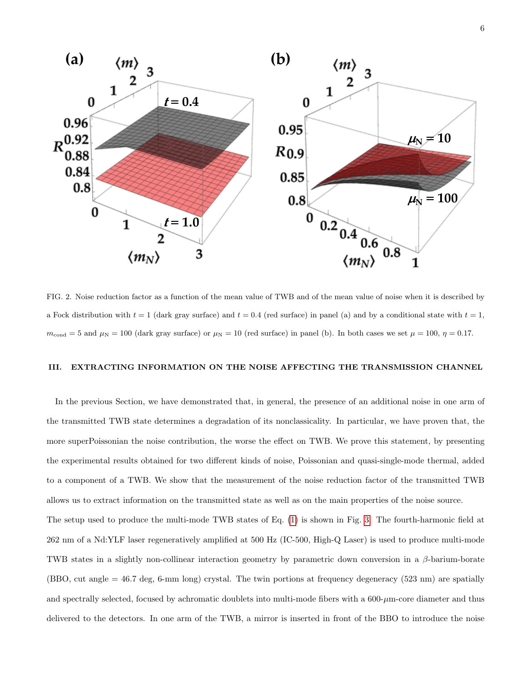

<span id="page-5-0"></span>FIG. 2. Noise reduction factor as a function of the mean value of TWB and of the mean value of noise when it is described by a Fock distribution with  $t = 1$  (dark gray surface) and  $t = 0.4$  (red surface) in panel (a) and by a conditional state with  $t = 1$ ,  $m_{\text{cond}} = 5$  and  $\mu_{\text{N}} = 100$  (dark gray surface) or  $\mu_{\text{N}} = 10$  (red surface) in panel (b). In both cases we set  $\mu = 100$ ,  $\eta = 0.17$ .

#### III. EXTRACTING INFORMATION ON THE NOISE AFFECTING THE TRANSMISSION CHANNEL

In the previous Section, we have demonstrated that, in general, the presence of an additional noise in one arm of the transmitted TWB state determines a degradation of its nonclassicality. In particular, we have proven that, the more superPoissonian the noise contribution, the worse the effect on TWB. We prove this statement, by presenting the experimental results obtained for two different kinds of noise, Poissonian and quasi-single-mode thermal, added to a component of a TWB. We show that the measurement of the noise reduction factor of the transmitted TWB allows us to extract information on the transmitted state as well as on the main properties of the noise source.

The setup used to produce the multi-mode TWB states of Eq. [\(1\)](#page-2-0) is shown in Fig. [3.](#page-6-0) The fourth-harmonic field at 262 nm of a Nd:YLF laser regeneratively amplified at 500 Hz (IC-500, High-Q Laser) is used to produce multi-mode TWB states in a slightly non-collinear interaction geometry by parametric down conversion in a  $\beta$ -barium-borate (BBO, cut angle = 46.7 deg, 6-mm long) crystal. The twin portions at frequency degeneracy (523 nm) are spatially and spectrally selected, focused by achromatic doublets into multi-mode fibers with a  $600-\mu m$ -core diameter and thus delivered to the detectors. In one arm of the TWB, a mirror is inserted in front of the BBO to introduce the noise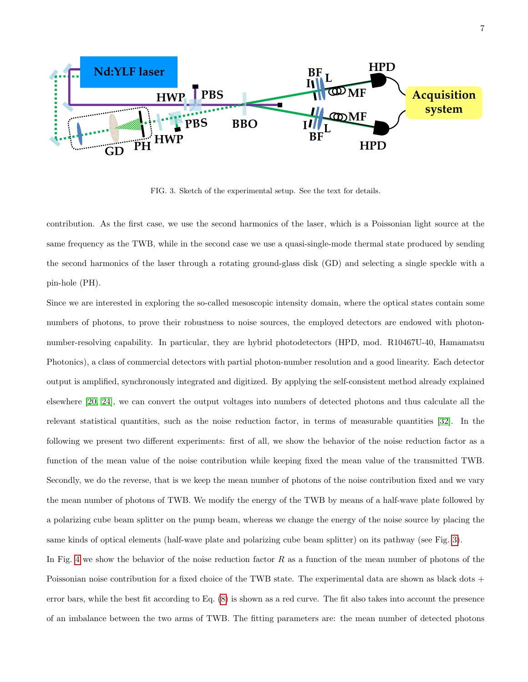

<span id="page-6-0"></span>FIG. 3. Sketch of the experimental setup. See the text for details.

contribution. As the first case, we use the second harmonics of the laser, which is a Poissonian light source at the same frequency as the TWB, while in the second case we use a quasi-single-mode thermal state produced by sending the second harmonics of the laser through a rotating ground-glass disk (GD) and selecting a single speckle with a pin-hole (PH).

Since we are interested in exploring the so-called mesoscopic intensity domain, where the optical states contain some numbers of photons, to prove their robustness to noise sources, the employed detectors are endowed with photonnumber-resolving capability. In particular, they are hybrid photodetectors (HPD, mod. R10467U-40, Hamamatsu Photonics), a class of commercial detectors with partial photon-number resolution and a good linearity. Each detector output is amplified, synchronously integrated and digitized. By applying the self-consistent method already explained elsewhere [\[20,](#page-13-7) [24\]](#page-13-11), we can convert the output voltages into numbers of detected photons and thus calculate all the relevant statistical quantities, such as the noise reduction factor, in terms of measurable quantities [\[32\]](#page-14-3). In the following we present two different experiments: first of all, we show the behavior of the noise reduction factor as a function of the mean value of the noise contribution while keeping fixed the mean value of the transmitted TWB. Secondly, we do the reverse, that is we keep the mean number of photons of the noise contribution fixed and we vary the mean number of photons of TWB. We modify the energy of the TWB by means of a half-wave plate followed by a polarizing cube beam splitter on the pump beam, whereas we change the energy of the noise source by placing the same kinds of optical elements (half-wave plate and polarizing cube beam splitter) on its pathway (see Fig. [3\)](#page-6-0).

In Fig. [4](#page-7-0) we show the behavior of the noise reduction factor  $R$  as a function of the mean number of photons of the Poissonian noise contribution for a fixed choice of the TWB state. The experimental data are shown as black dots + error bars, while the best fit according to Eq. [\(8\)](#page-3-2) is shown as a red curve. The fit also takes into account the presence of an imbalance between the two arms of TWB. The fitting parameters are: the mean number of detected photons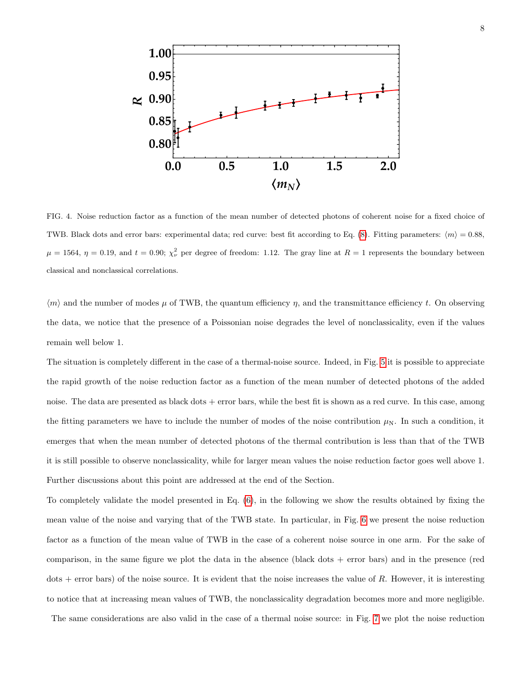

<span id="page-7-0"></span>FIG. 4. Noise reduction factor as a function of the mean number of detected photons of coherent noise for a fixed choice of TWB. Black dots and error bars: experimental data; red curve: best fit according to Eq. [\(8\)](#page-3-2). Fitting parameters:  $\langle m \rangle = 0.88$ ,  $\mu = 1564$ ,  $\eta = 0.19$ , and  $t = 0.90$ ;  $\chi^2_{\nu}$  per degree of freedom: 1.12. The gray line at  $R = 1$  represents the boundary between classical and nonclassical correlations.

 $\langle m \rangle$  and the number of modes  $\mu$  of TWB, the quantum efficiency  $\eta$ , and the transmittance efficiency t. On observing the data, we notice that the presence of a Poissonian noise degrades the level of nonclassicality, even if the values remain well below 1.

The situation is completely different in the case of a thermal-noise source. Indeed, in Fig. [5](#page-8-0) it is possible to appreciate the rapid growth of the noise reduction factor as a function of the mean number of detected photons of the added noise. The data are presented as black dots + error bars, while the best fit is shown as a red curve. In this case, among the fitting parameters we have to include the number of modes of the noise contribution  $\mu_N$ . In such a condition, it emerges that when the mean number of detected photons of the thermal contribution is less than that of the TWB it is still possible to observe nonclassicality, while for larger mean values the noise reduction factor goes well above 1. Further discussions about this point are addressed at the end of the Section.

To completely validate the model presented in Eq. [\(6\)](#page-3-0), in the following we show the results obtained by fixing the mean value of the noise and varying that of the TWB state. In particular, in Fig. [6](#page-9-0) we present the noise reduction factor as a function of the mean value of TWB in the case of a coherent noise source in one arm. For the sake of comparison, in the same figure we plot the data in the absence (black dots + error bars) and in the presence (red  $dots +$  error bars) of the noise source. It is evident that the noise increases the value of R. However, it is interesting to notice that at increasing mean values of TWB, the nonclassicality degradation becomes more and more negligible.

The same considerations are also valid in the case of a thermal noise source: in Fig. [7](#page-9-1) we plot the noise reduction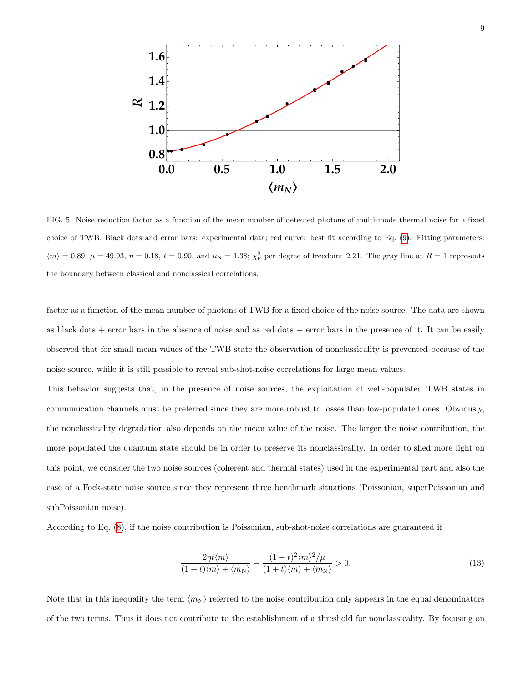

<span id="page-8-0"></span>FIG. 5. Noise reduction factor as a function of the mean number of detected photons of multi-mode thermal noise for a fixed choice of TWB. Black dots and error bars: experimental data; red curve: best fit according to Eq. [\(9\)](#page-3-3). Fitting parameters:  $\langle m \rangle = 0.89, \mu = 49.93, \eta = 0.18, t = 0.90, \text{ and } \mu_N = 1.38; \chi^2_{\nu}$  per degree of freedom: 2.21. The gray line at  $R = 1$  represents the boundary between classical and nonclassical correlations.

factor as a function of the mean number of photons of TWB for a fixed choice of the noise source. The data are shown as black dots  $+$  error bars in the absence of noise and as red dots  $+$  error bars in the presence of it. It can be easily observed that for small mean values of the TWB state the observation of nonclassicality is prevented because of the noise source, while it is still possible to reveal sub-shot-noise correlations for large mean values.

This behavior suggests that, in the presence of noise sources, the exploitation of well-populated TWB states in communication channels must be preferred since they are more robust to losses than low-populated ones. Obviously, the nonclassicality degradation also depends on the mean value of the noise. The larger the noise contribution, the more populated the quantum state should be in order to preserve its nonclassicality. In order to shed more light on this point, we consider the two noise sources (coherent and thermal states) used in the experimental part and also the case of a Fock-state noise source since they represent three benchmark situations (Poissonian, superPoissonian and subPoissonian noise).

According to Eq. [\(8\)](#page-3-2), if the noise contribution is Poissonian, sub-shot-noise correlations are guaranteed if

$$
\frac{2\eta t \langle m \rangle}{(1+t)\langle m \rangle + \langle m_N \rangle} - \frac{(1-t)^2 \langle m \rangle^2 / \mu}{(1+t)\langle m \rangle + \langle m_N \rangle} > 0.
$$
\n(13)

Note that in this inequality the term  $\langle m_N \rangle$  referred to the noise contribution only appears in the equal denominators of the two terms. Thus it does not contribute to the establishment of a threshold for nonclassicality. By focusing on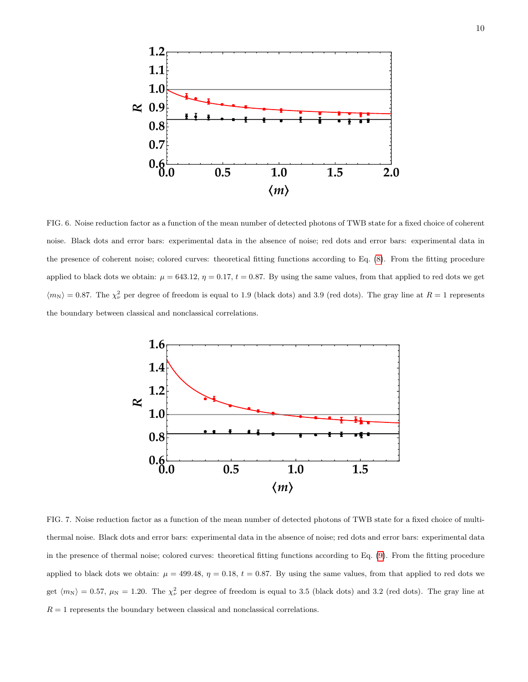

<span id="page-9-0"></span>FIG. 6. Noise reduction factor as a function of the mean number of detected photons of TWB state for a fixed choice of coherent noise. Black dots and error bars: experimental data in the absence of noise; red dots and error bars: experimental data in the presence of coherent noise; colored curves: theoretical fitting functions according to Eq. [\(8\)](#page-3-2). From the fitting procedure applied to black dots we obtain:  $\mu = 643.12$ ,  $\eta = 0.17$ ,  $t = 0.87$ . By using the same values, from that applied to red dots we get  $\langle m_N \rangle = 0.87$ . The  $\chi^2_{\nu}$  per degree of freedom is equal to 1.9 (black dots) and 3.9 (red dots). The gray line at  $R = 1$  represents the boundary between classical and nonclassical correlations.



<span id="page-9-1"></span>FIG. 7. Noise reduction factor as a function of the mean number of detected photons of TWB state for a fixed choice of multithermal noise. Black dots and error bars: experimental data in the absence of noise; red dots and error bars: experimental data in the presence of thermal noise; colored curves: theoretical fitting functions according to Eq. [\(9\)](#page-3-3). From the fitting procedure applied to black dots we obtain:  $\mu = 499.48$ ,  $\eta = 0.18$ ,  $t = 0.87$ . By using the same values, from that applied to red dots we get  $\langle m_N \rangle = 0.57$ ,  $\mu_N = 1.20$ . The  $\chi^2_{\nu}$  per degree of freedom is equal to 3.5 (black dots) and 3.2 (red dots). The gray line at  $R = 1$  represents the boundary between classical and nonclassical correlations.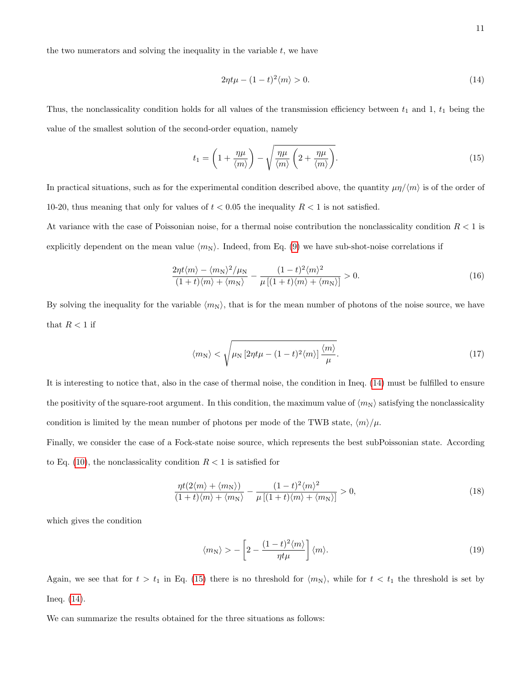the two numerators and solving the inequality in the variable  $t$ , we have

<span id="page-10-0"></span>
$$
2\eta t\mu - (1-t)^2 \langle m \rangle > 0. \tag{14}
$$

Thus, the nonclassicality condition holds for all values of the transmission efficiency between  $t_1$  and 1,  $t_1$  being the value of the smallest solution of the second-order equation, namely

<span id="page-10-1"></span>
$$
t_1 = \left(1 + \frac{\eta \mu}{\langle m \rangle}\right) - \sqrt{\frac{\eta \mu}{\langle m \rangle} \left(2 + \frac{\eta \mu}{\langle m \rangle}\right)}.
$$
\n(15)

In practical situations, such as for the experimental condition described above, the quantity  $\mu\eta/\langle m \rangle$  is of the order of 10-20, thus meaning that only for values of  $t < 0.05$  the inequality  $R < 1$  is not satisfied.

At variance with the case of Poissonian noise, for a thermal noise contribution the nonclassicality condition  $R < 1$  is explicitly dependent on the mean value  $\langle m_N \rangle$ . Indeed, from Eq. [\(9\)](#page-3-3) we have sub-shot-noise correlations if

$$
\frac{2\eta t \langle m \rangle - \langle m_N \rangle^2 / \mu_N}{(1+t)\langle m \rangle + \langle m_N \rangle} - \frac{(1-t)^2 \langle m \rangle^2}{\mu \left[ (1+t)\langle m \rangle + \langle m_N \rangle \right]} > 0. \tag{16}
$$

By solving the inequality for the variable  $\langle m_N \rangle$ , that is for the mean number of photons of the noise source, we have that  $R < 1$  if

$$
\langle m_N \rangle < \sqrt{\mu_N \left[ 2\eta t \mu - (1-t)^2 \langle m \rangle \right] \frac{\langle m \rangle}{\mu}}. \tag{17}
$$

It is interesting to notice that, also in the case of thermal noise, the condition in Ineq. [\(14\)](#page-10-0) must be fulfilled to ensure the positivity of the square-root argument. In this condition, the maximum value of  $\langle m_N \rangle$  satisfying the nonclassicality condition is limited by the mean number of photons per mode of the TWB state,  $\langle m \rangle / \mu$ .

Finally, we consider the case of a Fock-state noise source, which represents the best subPoissonian state. According to Eq. [\(10\)](#page-3-4), the nonclassicality condition  $R < 1$  is satisfied for

$$
\frac{\eta t(2\langle m\rangle + \langle m_N\rangle)}{(1+t)\langle m\rangle + \langle m_N\rangle} - \frac{(1-t)^2\langle m\rangle^2}{\mu\left[(1+t)\langle m\rangle + \langle m_N\rangle\right]} > 0,
$$
\n(18)

which gives the condition

$$
\langle m_{\rm N} \rangle > -\left[2 - \frac{(1-t)^2 \langle m \rangle}{\eta t \mu}\right] \langle m \rangle. \tag{19}
$$

Again, we see that for  $t > t_1$  in Eq. [\(15\)](#page-10-1) there is no threshold for  $\langle m_N \rangle$ , while for  $t < t_1$  the threshold is set by Ineq. [\(14\)](#page-10-0).

We can summarize the results obtained for the three situations as follows: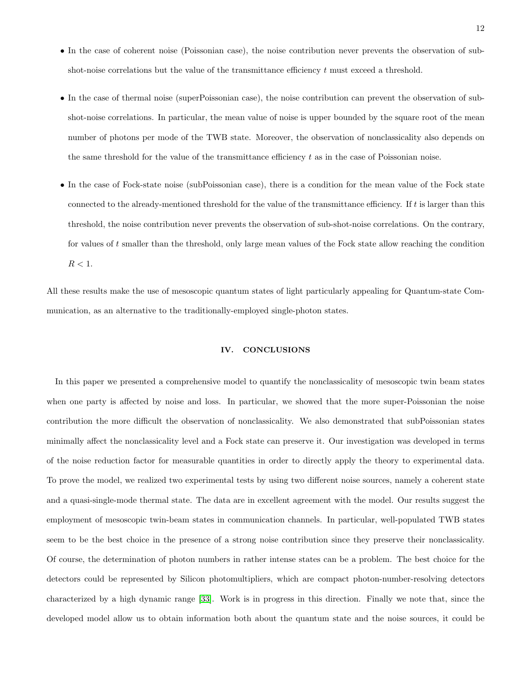- In the case of coherent noise (Poissonian case), the noise contribution never prevents the observation of subshot-noise correlations but the value of the transmittance efficiency t must exceed a threshold.
- In the case of thermal noise (superPoissonian case), the noise contribution can prevent the observation of subshot-noise correlations. In particular, the mean value of noise is upper bounded by the square root of the mean number of photons per mode of the TWB state. Moreover, the observation of nonclassicality also depends on the same threshold for the value of the transmittance efficiency  $t$  as in the case of Poissonian noise.
- In the case of Fock-state noise (subPoissonian case), there is a condition for the mean value of the Fock state connected to the already-mentioned threshold for the value of the transmittance efficiency. If  $t$  is larger than this threshold, the noise contribution never prevents the observation of sub-shot-noise correlations. On the contrary, for values of t smaller than the threshold, only large mean values of the Fock state allow reaching the condition  $R < 1$ .

All these results make the use of mesoscopic quantum states of light particularly appealing for Quantum-state Communication, as an alternative to the traditionally-employed single-photon states.

## IV. CONCLUSIONS

In this paper we presented a comprehensive model to quantify the nonclassicality of mesoscopic twin beam states when one party is affected by noise and loss. In particular, we showed that the more super-Poissonian the noise contribution the more difficult the observation of nonclassicality. We also demonstrated that subPoissonian states minimally affect the nonclassicality level and a Fock state can preserve it. Our investigation was developed in terms of the noise reduction factor for measurable quantities in order to directly apply the theory to experimental data. To prove the model, we realized two experimental tests by using two different noise sources, namely a coherent state and a quasi-single-mode thermal state. The data are in excellent agreement with the model. Our results suggest the employment of mesoscopic twin-beam states in communication channels. In particular, well-populated TWB states seem to be the best choice in the presence of a strong noise contribution since they preserve their nonclassicality. Of course, the determination of photon numbers in rather intense states can be a problem. The best choice for the detectors could be represented by Silicon photomultipliers, which are compact photon-number-resolving detectors characterized by a high dynamic range [\[33\]](#page-14-4). Work is in progress in this direction. Finally we note that, since the developed model allow us to obtain information both about the quantum state and the noise sources, it could be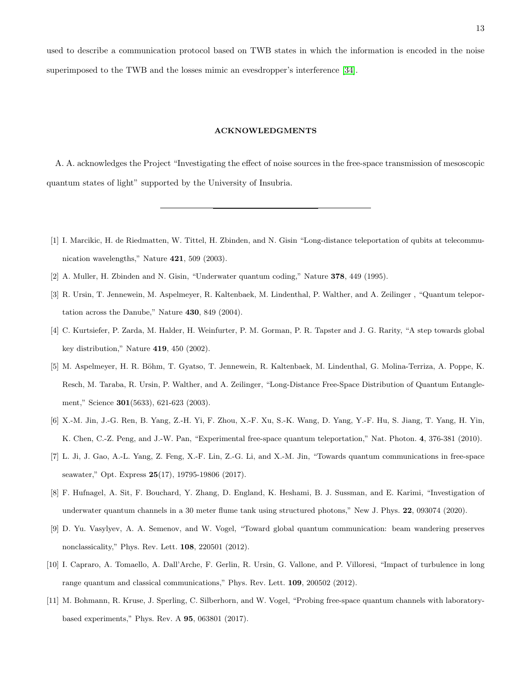used to describe a communication protocol based on TWB states in which the information is encoded in the noise superimposed to the TWB and the losses mimic an evesdropper's interference [\[34\]](#page-14-5).

#### ACKNOWLEDGMENTS

A. A. acknowledges the Project "Investigating the effect of noise sources in the free-space transmission of mesoscopic quantum states of light" supported by the University of Insubria.

- <span id="page-12-0"></span>[1] I. Marcikic, H. de Riedmatten, W. Tittel, H. Zbinden, and N. Gisin "Long-distance teleportation of qubits at telecommunication wavelengths," Nature 421, 509 (2003).
- <span id="page-12-1"></span>[2] A. Muller, H. Zbinden and N. Gisin, "Underwater quantum coding," Nature 378, 449 (1995).
- [3] R. Ursin, T. Jennewein, M. Aspelmeyer, R. Kaltenbaek, M. Lindenthal, P. Walther, and A. Zeilinger , "Quantum teleportation across the Danube," Nature 430, 849 (2004).
- <span id="page-12-2"></span>[4] C. Kurtsiefer, P. Zarda, M. Halder, H. Weinfurter, P. M. Gorman, P. R. Tapster and J. G. Rarity, "A step towards global key distribution," Nature 419, 450 (2002).
- [5] M. Aspelmeyer, H. R. Böhm, T. Gyatso, T. Jennewein, R. Kaltenbaek, M. Lindenthal, G. Molina-Terriza, A. Poppe, K. Resch, M. Taraba, R. Ursin, P. Walther, and A. Zeilinger, "Long-Distance Free-Space Distribution of Quantum Entanglement," Science 301(5633), 621-623 (2003).
- <span id="page-12-3"></span>[6] X.-M. Jin, J.-G. Ren, B. Yang, Z.-H. Yi, F. Zhou, X.-F. Xu, S.-K. Wang, D. Yang, Y.-F. Hu, S. Jiang, T. Yang, H. Yin, K. Chen, C.-Z. Peng, and J.-W. Pan, "Experimental free-space quantum teleportation," Nat. Photon. 4, 376-381 (2010).
- <span id="page-12-4"></span>[7] L. Ji, J. Gao, A.-L. Yang, Z. Feng, X.-F. Lin, Z.-G. Li, and X.-M. Jin, "Towards quantum communications in free-space seawater," Opt. Express 25(17), 19795-19806 (2017).
- <span id="page-12-5"></span>[8] F. Hufnagel, A. Sit, F. Bouchard, Y. Zhang, D. England, K. Heshami, B. J. Sussman, and E. Karimi, "Investigation of underwater quantum channels in a 30 meter flume tank using structured photons," New J. Phys. 22, 093074 (2020).
- <span id="page-12-6"></span>[9] D. Yu. Vasylyev, A. A. Semenov, and W. Vogel, "Toward global quantum communication: beam wandering preserves nonclassicality," Phys. Rev. Lett. 108, 220501 (2012).
- <span id="page-12-7"></span>[10] I. Capraro, A. Tomaello, A. Dall'Arche, F. Gerlin, R. Ursin, G. Vallone, and P. Villoresi, "Impact of turbulence in long range quantum and classical communications," Phys. Rev. Lett. 109, 200502 (2012).
- <span id="page-12-8"></span>[11] M. Bohmann, R. Kruse, J. Sperling, C. Silberhorn, and W. Vogel, "Probing free-space quantum channels with laboratorybased experiments," Phys. Rev. A 95, 063801 (2017).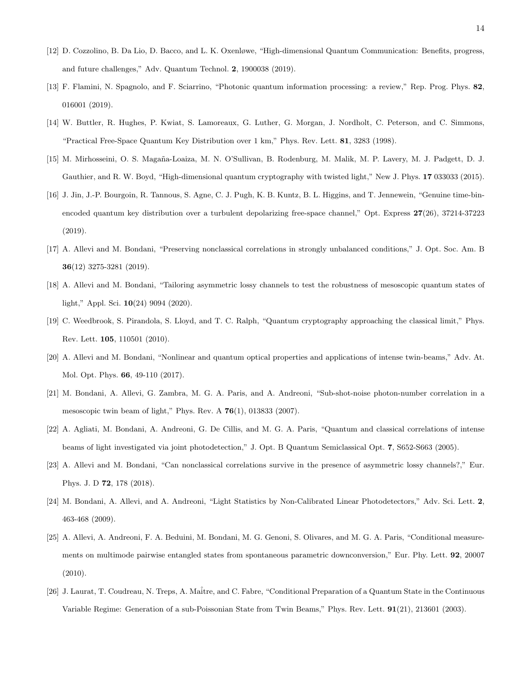- <span id="page-13-0"></span>[12] D. Cozzolino, B. Da Lio, D. Bacco, and L. K. Oxenløwe, "High-dimensional Quantum Communication: Benefits, progress, and future challenges," Adv. Quantum Technol. 2, 1900038 (2019).
- <span id="page-13-1"></span>[13] F. Flamini, N. Spagnolo, and F. Sciarrino, "Photonic quantum information processing: a review," Rep. Prog. Phys. 82, 016001 (2019).
- <span id="page-13-2"></span>[14] W. Buttler, R. Hughes, P. Kwiat, S. Lamoreaux, G. Luther, G. Morgan, J. Nordholt, C. Peterson, and C. Simmons, "Practical Free-Space Quantum Key Distribution over 1 km," Phys. Rev. Lett. 81, 3283 (1998).
- [15] M. Mirhosseini, O. S. Magaña-Loaiza, M. N. O'Sullivan, B. Rodenburg, M. Malik, M. P. Lavery, M. J. Padgett, D. J. Gauthier, and R. W. Boyd, "High-dimensional quantum cryptography with twisted light," New J. Phys. 17 033033 (2015).
- <span id="page-13-3"></span>[16] J. Jin, J.-P. Bourgoin, R. Tannous, S. Agne, C. J. Pugh, K. B. Kuntz, B. L. Higgins, and T. Jennewein, "Genuine time-binencoded quantum key distribution over a turbulent depolarizing free-space channel," Opt. Express 27(26), 37214-37223 (2019).
- <span id="page-13-4"></span>[17] A. Allevi and M. Bondani, "Preserving nonclassical correlations in strongly unbalanced conditions," J. Opt. Soc. Am. B 36(12) 3275-3281 (2019).
- <span id="page-13-5"></span>[18] A. Allevi and M. Bondani, "Tailoring asymmetric lossy channels to test the robustness of mesoscopic quantum states of light," Appl. Sci. 10(24) 9094 (2020).
- <span id="page-13-6"></span>[19] C. Weedbrook, S. Pirandola, S. Lloyd, and T. C. Ralph, "Quantum cryptography approaching the classical limit," Phys. Rev. Lett. 105, 110501 (2010).
- <span id="page-13-7"></span>[20] A. Allevi and M. Bondani, "Nonlinear and quantum optical properties and applications of intense twin-beams," Adv. At. Mol. Opt. Phys. 66, 49-110 (2017).
- <span id="page-13-8"></span>[21] M. Bondani, A. Allevi, G. Zambra, M. G. A. Paris, and A. Andreoni, "Sub-shot-noise photon-number correlation in a mesoscopic twin beam of light," Phys. Rev. A  $76(1)$ , 013833 (2007).
- <span id="page-13-9"></span>[22] A. Agliati, M. Bondani, A. Andreoni, G. De Cillis, and M. G. A. Paris, "Quantum and classical correlations of intense beams of light investigated via joint photodetection," J. Opt. B Quantum Semiclassical Opt. 7, S652-S663 (2005).
- <span id="page-13-10"></span>[23] A. Allevi and M. Bondani, "Can nonclassical correlations survive in the presence of asymmetric lossy channels?," Eur. Phys. J. D 72, 178 (2018).
- <span id="page-13-11"></span>[24] M. Bondani, A. Allevi, and A. Andreoni, "Light Statistics by Non-Calibrated Linear Photodetectors," Adv. Sci. Lett. 2, 463-468 (2009).
- <span id="page-13-12"></span>[25] A. Allevi, A. Andreoni, F. A. Beduini, M. Bondani, M. G. Genoni, S. Olivares, and M. G. A. Paris, "Conditional measurements on multimode pairwise entangled states from spontaneous parametric downconversion," Eur. Phy. Lett. 92, 20007 (2010).
- [26] J. Laurat, T. Coudreau, N. Treps, A. Maˆitre, and C. Fabre, "Conditional Preparation of a Quantum State in the Continuous Variable Regime: Generation of a sub-Poissonian State from Twin Beams," Phys. Rev. Lett. 91(21), 213601 (2003).